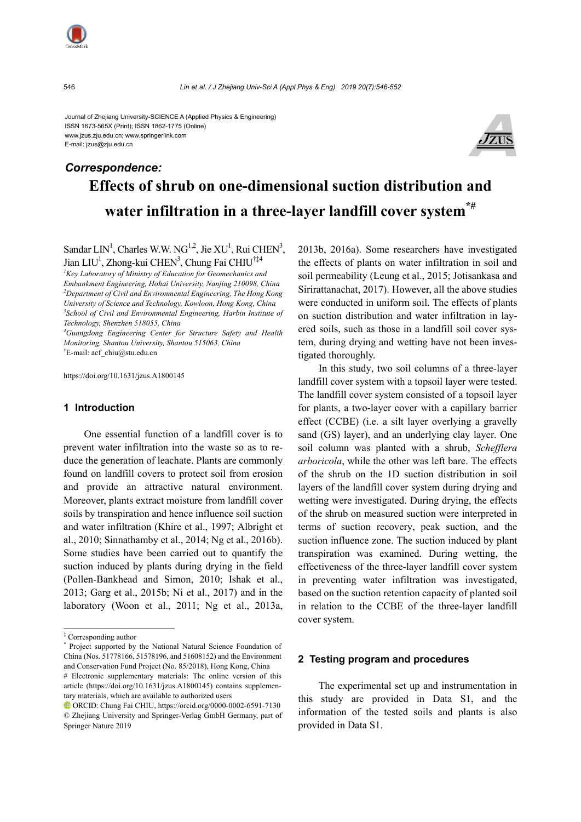

Journal of Zhejiang University-SCIENCE A (Applied Physics & Engineering) ISSN 1673-565X (Print); ISSN 1862-1775 (Online) www.jzus.zju.edu.cn; www.springerlink.com E-mail: jzus@zju.edu.cn



# **Effects of shrub on one-dimensional suction distribution and water infiltration in a three-layer landfill cover system\*#** *Correspondence:*

Sandar LIN<sup>1</sup>, Charles W.W. NG<sup>1,2</sup>, Jie XU<sup>1</sup>, Rui CHEN<sup>3</sup>, Jian LIU<sup>1</sup>, Zhong-kui CHEN<sup>3</sup>, Chung Fai CHIU<sup>†‡4</sup>

*1 Key Laboratory of Ministry of Education for Geomechanics and Embankment Engineering, Hohai University, Nanjing 210098, China 2 Department of Civil and Environmental Engineering, The Hong Kong University of Science and Technology, Kowloon, Hong Kong, China 3 School of Civil and Environmental Engineering, Harbin Institute of Technology, Shenzhen 518055, China* 

*4 Guangdong Engineering Center for Structure Safety and Health Monitoring, Shantou University, Shantou 515063, China*  † E-mail: acf\_chiu@stu.edu.cn

https://doi.org/10.1631/jzus.A1800145

#### **1 Introduction**

One essential function of a landfill cover is to prevent water infiltration into the waste so as to reduce the generation of leachate. Plants are commonly found on landfill covers to protect soil from erosion and provide an attractive natural environment. Moreover, plants extract moisture from landfill cover soils by transpiration and hence influence soil suction and water infiltration (Khire et al., 1997; Albright et al., 2010; Sinnathamby et al., 2014; Ng et al., 2016b). Some studies have been carried out to quantify the suction induced by plants during drying in the field (Pollen-Bankhead and Simon, 2010; Ishak et al., 2013; Garg et al., 2015b; Ni et al., 2017) and in the laboratory (Woon et al., 2011; Ng et al., 2013a,

2013b, 2016a). Some researchers have investigated the effects of plants on water infiltration in soil and soil permeability (Leung et al., 2015; Jotisankasa and Sirirattanachat, 2017). However, all the above studies were conducted in uniform soil. The effects of plants on suction distribution and water infiltration in layered soils, such as those in a landfill soil cover system, during drying and wetting have not been investigated thoroughly.

In this study, two soil columns of a three-layer landfill cover system with a topsoil layer were tested. The landfill cover system consisted of a topsoil layer for plants, a two-layer cover with a capillary barrier effect (CCBE) (i.e. a silt layer overlying a gravelly sand (GS) layer), and an underlying clay layer. One soil column was planted with a shrub, *Schefflera arboricola*, while the other was left bare. The effects of the shrub on the 1D suction distribution in soil layers of the landfill cover system during drying and wetting were investigated. During drying, the effects of the shrub on measured suction were interpreted in terms of suction recovery, peak suction, and the suction influence zone. The suction induced by plant transpiration was examined. During wetting, the effectiveness of the three-layer landfill cover system in preventing water infiltration was investigated, based on the suction retention capacity of planted soil in relation to the CCBE of the three-layer landfill cover system.

#### **2 Testing program and procedures**

The experimental set up and instrumentation in this study are provided in Data S1, and the information of the tested soils and plants is also provided in Data S1.

<sup>‡</sup> Corresponding author

<sup>\*</sup> Project supported by the National Natural Science Foundation of China (Nos. 51778166, 51578196, and 51608152) and the Environment and Conservation Fund Project (No. 85/2018), Hong Kong, China

<sup>#</sup> Electronic supplementary materials: The online version of this article (https://doi.org/10.1631/jzus.A1800145) contains supplementary materials, which are available to authorized users

ORCID: Chung Fai CHIU, https://orcid.org/0000-0002-6591-7130 © Zhejiang University and Springer-Verlag GmbH Germany, part of Springer Nature 2019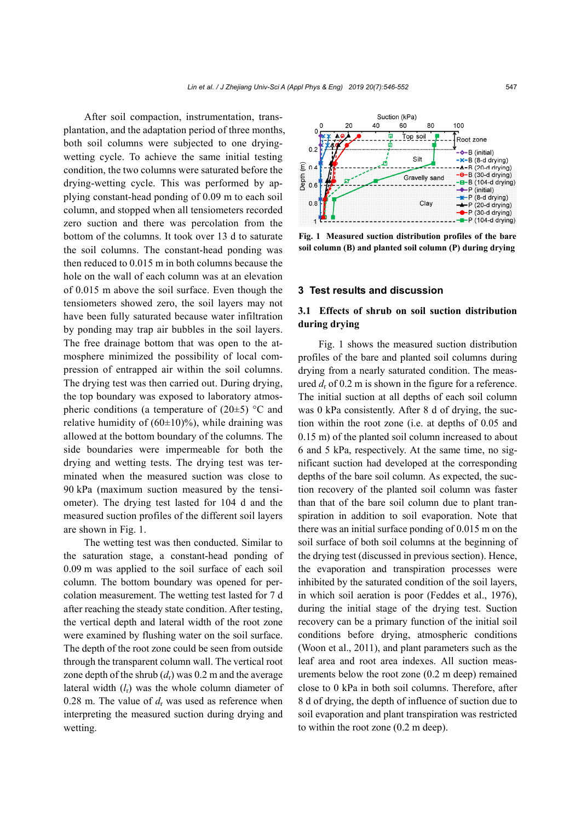After soil compaction, instrumentation, transplantation, and the adaptation period of three months, both soil columns were subjected to one dryingwetting cycle. To achieve the same initial testing condition, the two columns were saturated before the drying-wetting cycle. This was performed by applying constant-head ponding of 0.09 m to each soil column, and stopped when all tensiometers recorded zero suction and there was percolation from the bottom of the columns. It took over 13 d to saturate the soil columns. The constant-head ponding was then reduced to 0.015 m in both columns because the hole on the wall of each column was at an elevation of 0.015 m above the soil surface. Even though the tensiometers showed zero, the soil layers may not have been fully saturated because water infiltration by ponding may trap air bubbles in the soil layers. The free drainage bottom that was open to the atmosphere minimized the possibility of local compression of entrapped air within the soil columns. The drying test was then carried out. During drying, the top boundary was exposed to laboratory atmospheric conditions (a temperature of  $(20\pm5)$  °C and relative humidity of  $(60\pm10)\%$ ), while draining was allowed at the bottom boundary of the columns. The side boundaries were impermeable for both the drying and wetting tests. The drying test was terminated when the measured suction was close to 90 kPa (maximum suction measured by the tensiometer). The drying test lasted for 104 d and the measured suction profiles of the different soil layers are shown in Fig. 1.

The wetting test was then conducted. Similar to the saturation stage, a constant-head ponding of 0.09 m was applied to the soil surface of each soil column. The bottom boundary was opened for percolation measurement. The wetting test lasted for 7 d after reaching the steady state condition. After testing, the vertical depth and lateral width of the root zone were examined by flushing water on the soil surface. The depth of the root zone could be seen from outside through the transparent column wall. The vertical root zone depth of the shrub  $(d<sub>r</sub>)$  was 0.2 m and the average lateral width (*l*r) was the whole column diameter of 0.28 m. The value of  $d_r$  was used as reference when interpreting the measured suction during drying and wetting.



**Fig. 1 Measured suction distribution profiles of the bare soil column (B) and planted soil column (P) during drying**

#### **3 Test results and discussion**

# **3.1 Effects of shrub on soil suction distribution during drying**

Fig. 1 shows the measured suction distribution profiles of the bare and planted soil columns during drying from a nearly saturated condition. The measured  $d_r$  of 0.2 m is shown in the figure for a reference. The initial suction at all depths of each soil column was 0 kPa consistently. After 8 d of drying, the suction within the root zone (i.e. at depths of 0.05 and 0.15 m) of the planted soil column increased to about 6 and 5 kPa, respectively. At the same time, no significant suction had developed at the corresponding depths of the bare soil column. As expected, the suction recovery of the planted soil column was faster than that of the bare soil column due to plant transpiration in addition to soil evaporation. Note that there was an initial surface ponding of 0.015 m on the soil surface of both soil columns at the beginning of the drying test (discussed in previous section). Hence, the evaporation and transpiration processes were inhibited by the saturated condition of the soil layers, in which soil aeration is poor (Feddes et al., 1976), during the initial stage of the drying test. Suction recovery can be a primary function of the initial soil conditions before drying, atmospheric conditions (Woon et al., 2011), and plant parameters such as the leaf area and root area indexes. All suction measurements below the root zone (0.2 m deep) remained close to 0 kPa in both soil columns. Therefore, after 8 d of drying, the depth of influence of suction due to soil evaporation and plant transpiration was restricted to within the root zone (0.2 m deep).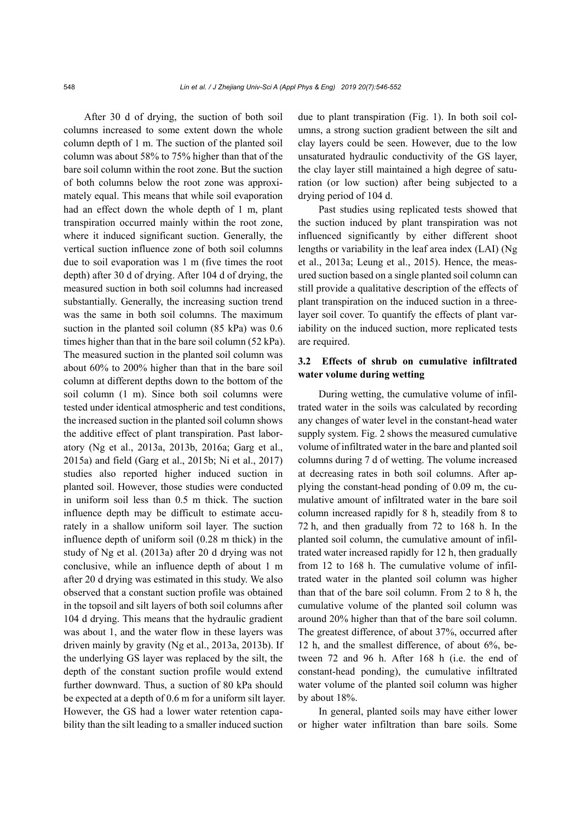After 30 d of drying, the suction of both soil columns increased to some extent down the whole column depth of 1 m. The suction of the planted soil column was about 58% to 75% higher than that of the bare soil column within the root zone. But the suction of both columns below the root zone was approximately equal. This means that while soil evaporation had an effect down the whole depth of 1 m, plant transpiration occurred mainly within the root zone, where it induced significant suction. Generally, the vertical suction influence zone of both soil columns due to soil evaporation was 1 m (five times the root depth) after 30 d of drying. After 104 d of drying, the measured suction in both soil columns had increased substantially. Generally, the increasing suction trend was the same in both soil columns. The maximum suction in the planted soil column (85 kPa) was 0.6 times higher than that in the bare soil column (52 kPa). The measured suction in the planted soil column was about 60% to 200% higher than that in the bare soil column at different depths down to the bottom of the soil column (1 m). Since both soil columns were tested under identical atmospheric and test conditions, the increased suction in the planted soil column shows the additive effect of plant transpiration. Past laboratory (Ng et al., 2013a, 2013b, 2016a; Garg et al., 2015a) and field (Garg et al., 2015b; Ni et al., 2017) studies also reported higher induced suction in planted soil. However, those studies were conducted in uniform soil less than 0.5 m thick. The suction influence depth may be difficult to estimate accurately in a shallow uniform soil layer. The suction influence depth of uniform soil (0.28 m thick) in the study of Ng et al. (2013a) after 20 d drying was not conclusive, while an influence depth of about 1 m after 20 d drying was estimated in this study. We also observed that a constant suction profile was obtained in the topsoil and silt layers of both soil columns after 104 d drying. This means that the hydraulic gradient was about 1, and the water flow in these layers was driven mainly by gravity (Ng et al., 2013a, 2013b). If the underlying GS layer was replaced by the silt, the depth of the constant suction profile would extend further downward. Thus, a suction of 80 kPa should be expected at a depth of 0.6 m for a uniform silt layer. However, the GS had a lower water retention capability than the silt leading to a smaller induced suction due to plant transpiration (Fig. 1). In both soil columns, a strong suction gradient between the silt and clay layers could be seen. However, due to the low unsaturated hydraulic conductivity of the GS layer, the clay layer still maintained a high degree of saturation (or low suction) after being subjected to a drying period of 104 d.

Past studies using replicated tests showed that the suction induced by plant transpiration was not influenced significantly by either different shoot lengths or variability in the leaf area index (LAI) (Ng et al., 2013a; Leung et al., 2015). Hence, the measured suction based on a single planted soil column can still provide a qualitative description of the effects of plant transpiration on the induced suction in a threelayer soil cover. To quantify the effects of plant variability on the induced suction, more replicated tests are required.

## **3.2 Effects of shrub on cumulative infiltrated water volume during wetting**

During wetting, the cumulative volume of infiltrated water in the soils was calculated by recording any changes of water level in the constant-head water supply system. Fig. 2 shows the measured cumulative volume of infiltrated water in the bare and planted soil columns during 7 d of wetting. The volume increased at decreasing rates in both soil columns. After applying the constant-head ponding of 0.09 m, the cumulative amount of infiltrated water in the bare soil column increased rapidly for 8 h, steadily from 8 to 72 h, and then gradually from 72 to 168 h. In the planted soil column, the cumulative amount of infiltrated water increased rapidly for 12 h, then gradually from 12 to 168 h. The cumulative volume of infiltrated water in the planted soil column was higher than that of the bare soil column. From 2 to 8 h, the cumulative volume of the planted soil column was around 20% higher than that of the bare soil column. The greatest difference, of about 37%, occurred after 12 h, and the smallest difference, of about 6%, between 72 and 96 h. After 168 h (i.e. the end of constant-head ponding), the cumulative infiltrated water volume of the planted soil column was higher by about 18%.

In general, planted soils may have either lower or higher water infiltration than bare soils. Some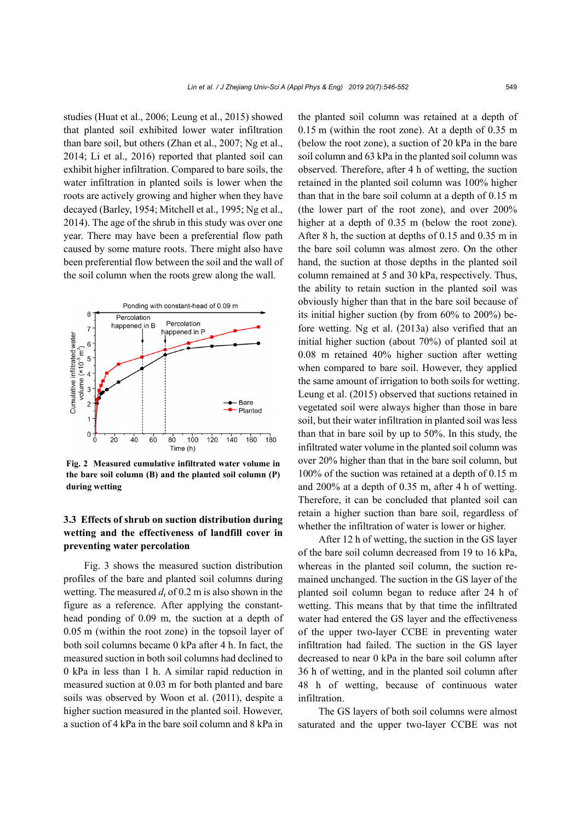studies (Huat et al., 2006; Leung et al., 2015) showed that planted soil exhibited lower water infiltration than bare soil, but others (Zhan et al., 2007; Ng et al., 2014; Li et al., 2016) reported that planted soil can exhibit higher infiltration. Compared to bare soils, the water infiltration in planted soils is lower when the roots are actively growing and higher when they have decayed (Barley, 1954; Mitchell et al., 1995; Ng et al., 2014). The age of the shrub in this study was over one year. There may have been a preferential flow path caused by some mature roots. There might also have been preferential flow between the soil and the wall of the soil column when the roots grew along the wall.



**Fig. 2 Measured cumulative infiltrated water volume in the bare soil column (B) and the planted soil column (P) during wetting** 

# **3.3 Effects of shrub on suction distribution during wetting and the effectiveness of landfill cover in preventing water percolation**

Fig. 3 shows the measured suction distribution profiles of the bare and planted soil columns during wetting. The measured  $d_{\rm r}$  of 0.2 m is also shown in the figure as a reference. After applying the constanthead ponding of 0.09 m, the suction at a depth of 0.05 m (within the root zone) in the topsoil layer of both soil columns became 0 kPa after 4 h. In fact, the measured suction in both soil columns had declined to 0 kPa in less than 1 h. A similar rapid reduction in measured suction at 0.03 m for both planted and bare soils was observed by Woon et al. (2011), despite a higher suction measured in the planted soil. However, a suction of 4 kPa in the bare soil column and 8 kPa in

the planted soil column was retained at a depth of 0.15 m (within the root zone). At a depth of 0.35 m (below the root zone), a suction of 20 kPa in the bare soil column and 63 kPa in the planted soil column was observed. Therefore, after 4 h of wetting, the suction retained in the planted soil column was 100% higher than that in the bare soil column at a depth of 0.15 m (the lower part of the root zone), and over 200% higher at a depth of 0.35 m (below the root zone). After 8 h, the suction at depths of 0.15 and 0.35 m in the bare soil column was almost zero. On the other hand, the suction at those depths in the planted soil column remained at 5 and 30 kPa, respectively. Thus, the ability to retain suction in the planted soil was obviously higher than that in the bare soil because of its initial higher suction (by from 60% to 200%) before wetting. Ng et al. (2013a) also verified that an initial higher suction (about 70%) of planted soil at 0.08 m retained 40% higher suction after wetting when compared to bare soil. However, they applied the same amount of irrigation to both soils for wetting. Leung et al. (2015) observed that suctions retained in vegetated soil were always higher than those in bare soil, but their water infiltration in planted soil was less than that in bare soil by up to 50%. In this study, the infiltrated water volume in the planted soil column was over 20% higher than that in the bare soil column, but 100% of the suction was retained at a depth of 0.15 m and 200% at a depth of 0.35 m, after 4 h of wetting. Therefore, it can be concluded that planted soil can retain a higher suction than bare soil, regardless of whether the infiltration of water is lower or higher.

After 12 h of wetting, the suction in the GS layer of the bare soil column decreased from 19 to 16 kPa, whereas in the planted soil column, the suction remained unchanged. The suction in the GS layer of the planted soil column began to reduce after 24 h of wetting. This means that by that time the infiltrated water had entered the GS layer and the effectiveness of the upper two-layer CCBE in preventing water infiltration had failed. The suction in the GS layer decreased to near 0 kPa in the bare soil column after 36 h of wetting, and in the planted soil column after 48 h of wetting, because of continuous water infiltration.

The GS layers of both soil columns were almost saturated and the upper two-layer CCBE was not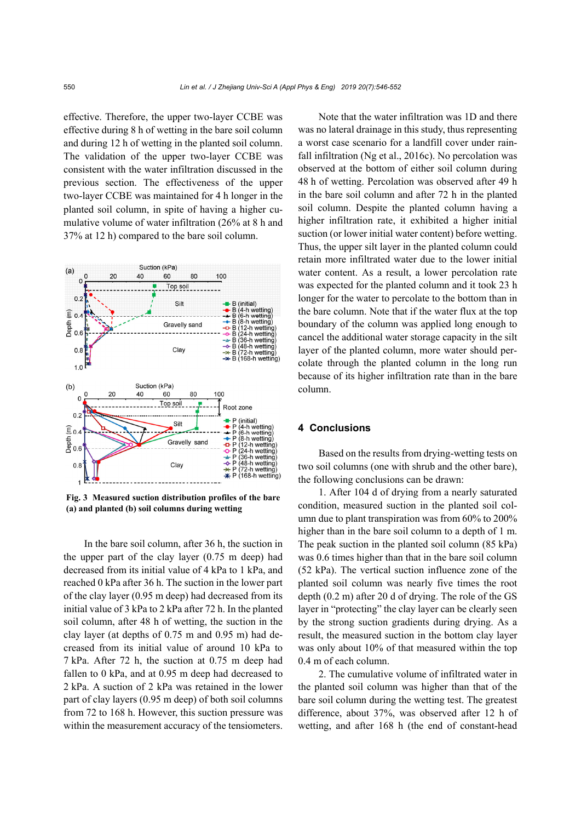effective. Therefore, the upper two-layer CCBE was effective during 8 h of wetting in the bare soil column and during 12 h of wetting in the planted soil column. The validation of the upper two-layer CCBE was consistent with the water infiltration discussed in the previous section. The effectiveness of the upper two-layer CCBE was maintained for 4 h longer in the planted soil column, in spite of having a higher cumulative volume of water infiltration (26% at 8 h and 37% at 12 h) compared to the bare soil column.



**Fig. 3 Measured suction distribution profiles of the bare (a) and planted (b) soil columns during wetting**

In the bare soil column, after 36 h, the suction in the upper part of the clay layer (0.75 m deep) had decreased from its initial value of 4 kPa to 1 kPa, and reached 0 kPa after 36 h. The suction in the lower part of the clay layer (0.95 m deep) had decreased from its initial value of 3 kPa to 2 kPa after 72 h. In the planted soil column, after 48 h of wetting, the suction in the clay layer (at depths of 0.75 m and 0.95 m) had decreased from its initial value of around 10 kPa to 7 kPa. After 72 h, the suction at 0.75 m deep had fallen to 0 kPa, and at 0.95 m deep had decreased to 2 kPa. A suction of 2 kPa was retained in the lower part of clay layers (0.95 m deep) of both soil columns from 72 to 168 h. However, this suction pressure was within the measurement accuracy of the tensiometers.

Note that the water infiltration was 1D and there was no lateral drainage in this study, thus representing a worst case scenario for a landfill cover under rainfall infiltration (Ng et al., 2016c). No percolation was observed at the bottom of either soil column during 48 h of wetting. Percolation was observed after 49 h in the bare soil column and after 72 h in the planted soil column. Despite the planted column having a higher infiltration rate, it exhibited a higher initial suction (or lower initial water content) before wetting. Thus, the upper silt layer in the planted column could retain more infiltrated water due to the lower initial water content. As a result, a lower percolation rate was expected for the planted column and it took 23 h longer for the water to percolate to the bottom than in the bare column. Note that if the water flux at the top boundary of the column was applied long enough to cancel the additional water storage capacity in the silt layer of the planted column, more water should percolate through the planted column in the long run because of its higher infiltration rate than in the bare column.

### **4 Conclusions**

Based on the results from drying-wetting tests on two soil columns (one with shrub and the other bare), the following conclusions can be drawn:

1. After 104 d of drying from a nearly saturated condition, measured suction in the planted soil column due to plant transpiration was from 60% to 200% higher than in the bare soil column to a depth of 1 m. The peak suction in the planted soil column (85 kPa) was 0.6 times higher than that in the bare soil column (52 kPa). The vertical suction influence zone of the planted soil column was nearly five times the root depth (0.2 m) after 20 d of drying. The role of the GS layer in "protecting" the clay layer can be clearly seen by the strong suction gradients during drying. As a result, the measured suction in the bottom clay layer was only about 10% of that measured within the top 0.4 m of each column.

2. The cumulative volume of infiltrated water in the planted soil column was higher than that of the bare soil column during the wetting test. The greatest difference, about 37%, was observed after 12 h of wetting, and after 168 h (the end of constant-head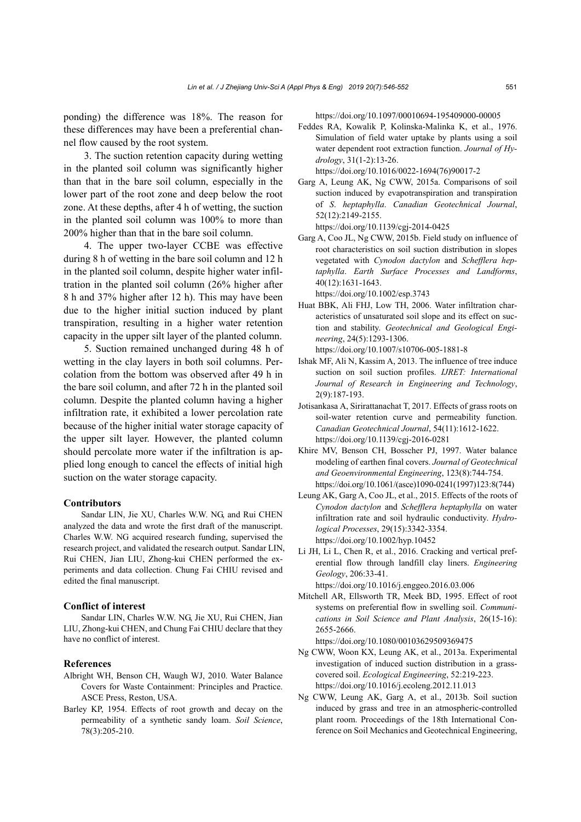ponding) the difference was 18%. The reason for these differences may have been a preferential channel flow caused by the root system.

3. The suction retention capacity during wetting in the planted soil column was significantly higher than that in the bare soil column, especially in the lower part of the root zone and deep below the root zone. At these depths, after 4 h of wetting, the suction in the planted soil column was 100% to more than 200% higher than that in the bare soil column.

4. The upper two-layer CCBE was effective during 8 h of wetting in the bare soil column and 12 h in the planted soil column, despite higher water infiltration in the planted soil column (26% higher after 8 h and 37% higher after 12 h). This may have been due to the higher initial suction induced by plant transpiration, resulting in a higher water retention capacity in the upper silt layer of the planted column.

5. Suction remained unchanged during 48 h of wetting in the clay layers in both soil columns. Percolation from the bottom was observed after 49 h in the bare soil column, and after 72 h in the planted soil column. Despite the planted column having a higher infiltration rate, it exhibited a lower percolation rate because of the higher initial water storage capacity of the upper silt layer. However, the planted column should percolate more water if the infiltration is applied long enough to cancel the effects of initial high suction on the water storage capacity.

#### **Contributors**

Sandar LIN, Jie XU, Charles W.W. NG, and Rui CHEN analyzed the data and wrote the first draft of the manuscript. Charles W.W. NG acquired research funding, supervised the research project, and validated the research output. Sandar LIN, Rui CHEN, Jian LIU, Zhong-kui CHEN performed the experiments and data collection. Chung Fai CHIU revised and edited the final manuscript.

#### **Conflict of interest**

Sandar LIN, Charles W.W. NG, Jie XU, Rui CHEN, Jian LIU, Zhong-kui CHEN, and Chung Fai CHIU declare that they have no conflict of interest.

#### **References**

- Albright WH, Benson CH, Waugh WJ, 2010. Water Balance Covers for Waste Containment: Principles and Practice. ASCE Press, Reston, USA.
- Barley KP, 1954. Effects of root growth and decay on the permeability of a synthetic sandy loam. *Soil Science*, 78(3):205-210.

https://doi.org/10.1097/00010694-195409000-00005

Feddes RA, Kowalik P, Kolinska-Malinka K, et al., 1976. Simulation of field water uptake by plants using a soil water dependent root extraction function. *Journal of Hydrology*, 31(1-2):13-26.

https://doi.org/10.1016/0022-1694(76)90017-2 Garg A, Leung AK, Ng CWW, 2015a. Comparisons of soil

- suction induced by evapotranspiration and transpiration of *S*. *heptaphylla*. *Canadian Geotechnical Journal*, 52(12):2149-2155. https://doi.org/10.1139/cgj-2014-0425
- Garg A, Coo JL, Ng CWW, 2015b. Field study on influence of root characteristics on soil suction distribution in slopes vegetated with *Cynodon dactylon* and *Schefflera heptaphylla*. *Earth Surface Processes and Landforms*, 40(12):1631-1643.

https://doi.org/10.1002/esp.3743

- Huat BBK, Ali FHJ, Low TH, 2006. Water infiltration characteristics of unsaturated soil slope and its effect on suction and stability. *Geotechnical and Geological Engineering*, 24(5):1293-1306. https://doi.org/10.1007/s10706-005-1881-8
- Ishak MF, Ali N, Kassim A, 2013. The influence of tree induce suction on soil suction profiles. *IJRET: International Journal of Research in Engineering and Technology*, 2(9):187-193.
- Jotisankasa A, Sirirattanachat T, 2017. Effects of grass roots on soil-water retention curve and permeability function. *Canadian Geotechnical Journal*, 54(11):1612-1622. https://doi.org/10.1139/cgj-2016-0281
- Khire MV, Benson CH, Bosscher PJ, 1997. Water balance modeling of earthen final covers. *Journal of Geotechnical and Geoenvironmental Engineering*, 123(8):744-754. https://doi.org/10.1061/(asce)1090-0241(1997)123:8(744)
- Leung AK, Garg A, Coo JL, et al., 2015. Effects of the roots of *Cynodon dactylon* and *Schefflera heptaphylla* on water infiltration rate and soil hydraulic conductivity. *Hydrological Processes*, 29(15):3342-3354. https://doi.org/10.1002/hyp.10452
- Li JH, Li L, Chen R, et al., 2016. Cracking and vertical preferential flow through landfill clay liners. *Engineering Geology*, 206:33-41. https://doi.org/10.1016/j.enggeo.2016.03.006
- Mitchell AR, Ellsworth TR, Meek BD, 1995. Effect of root systems on preferential flow in swelling soil. *Communications in Soil Science and Plant Analysis*, 26(15-16): 2655-2666.

https://doi.org/10.1080/00103629509369475

- Ng CWW, Woon KX, Leung AK, et al., 2013a. Experimental investigation of induced suction distribution in a grasscovered soil. *Ecological Engineering*, 52:219-223. https://doi.org/10.1016/j.ecoleng.2012.11.013
- Ng CWW, Leung AK, Garg A, et al., 2013b. Soil suction induced by grass and tree in an atmospheric-controlled plant room. Proceedings of the 18th International Conference on Soil Mechanics and Geotechnical Engineering,